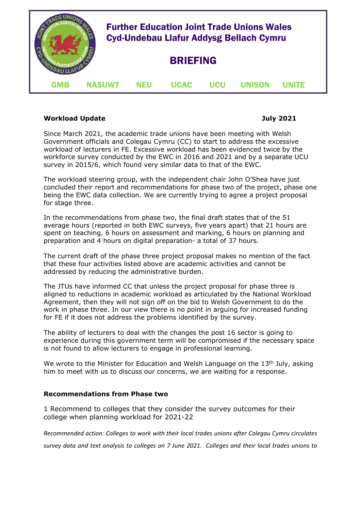

# **Workload Update 30 and 2021**

Since March 2021, the academic trade unions have been meeting with Welsh Government officials and Colegau Cymru (CC) to start to address the excessive workload of lecturers in FE. Excessive workload has been evidenced twice by the workforce survey conducted by the EWC in 2016 and 2021 and by a separate UCU survey in 2015/6, which found very similar data to that of the EWC.

The workload steering group, with the independent chair John O'Shea have just concluded their report and recommendations for phase two of the project, phase one being the EWC data collection. We are currently trying to agree a project proposal for stage three.

In the recommendations from phase two, the final draft states that of the 51 average hours (reported in both EWC surveys, five years apart) that 21 hours are spent on teaching, 6 hours on assessment and marking, 6 hours on planning and preparation and 4 hours on digital preparation- a total of 37 hours.

The current draft of the phase three project proposal makes no mention of the fact that these four activities listed above are academic activities and cannot be addressed by reducing the administrative burden.

The JTUs have informed CC that unless the project proposal for phase three is aligned to reductions in academic workload as articulated by the National Workload Agreement, then they will not sign off on the bid to Welsh Government to do the work in phase three. In our view there is no point in arguing for increased funding for FE if it does not address the problems identified by the survey.

The ability of lecturers to deal with the changes the post 16 sector is going to experience during this government term will be compromised if the necessary space is not found to allow lecturers to engage in professional learning.

We wrote to the Minister for Education and Welsh Language on the  $13<sup>th</sup>$  July, asking him to meet with us to discuss our concerns, we are waiting for a response.

# **Recommendations from Phase two**

1 Recommend to colleges that they consider the survey outcomes for their college when planning workload for 2021-22

*Recommended action: Colleges to work with their local trades unions after Colegau Cymru circulates* 

*survey data and text analysis to colleges on 7 June 2021. Colleges and their local trades unions to*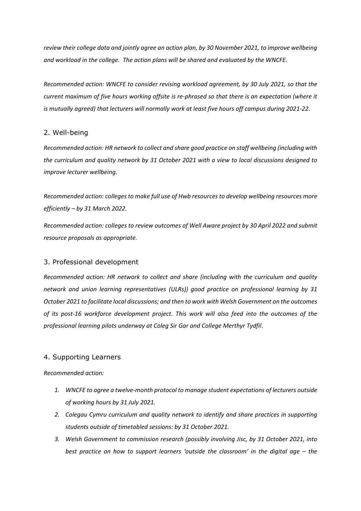*review their college data and jointly agree an action plan, by 30 November 2021, to improve wellbeing and workload in the college. The action plans will be shared and evaluated by the WNCFE.*

*Recommended action: WNCFE to consider revising workload agreement, by 30 July 2021, so that the current maximum of five hours working offsite is re-phrased so that there is an expectation (where it is mutually agreed) that lecturers will normally work at least five hours off campus during 2021-22.*

# 2. Well-being

*Recommended action: HR network to collect and share good practice on staff wellbeing (including with the curriculum and quality network by 31 October 2021 with a view to local discussions designed to improve lecturer wellbeing.*

*Recommended action: colleges to make full use of Hwb resources to develop wellbeing resources more efficiently – by 31 March 2022.*

*Recommended action: colleges to review outcomes of Well Aware project by 30 April 2022 and submit resource proposals as appropriate.*

## 3. Professional development

*Recommended action: HR network to collect and share (including with the curriculum and quality network and union learning representatives (ULRs)) good practice on professional learning by 31 October 2021 to facilitate local discussions; and then to work with Welsh Government on the outcomes of its post-16 workforce development project. This work will also feed into the outcomes of the professional learning pilots underway at Coleg Sir Gar and College Merthyr Tydfil*.

## 4. Supporting Learners

## *Recommended action:*

- *1. WNCFE to agree a twelve-month protocol to manage student expectations of lecturers outside of working hours by 31 July 2021.*
- *2. Colegau Cymru curriculum and quality network to identify and share practices in supporting students outside of timetabled sessions: by 31 October 2021.*
- *3. Welsh Government to commission research (possibly involving Jisc, by 31 October 2021, into best practice on how to support learners 'outside the classroom' in the digital age – the*